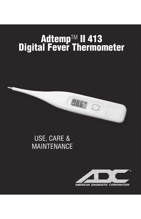# **Adtemp**TM **II 413 Digital Fever Thermometer**

98.5"

# USE, CARE & MAINTENANCE

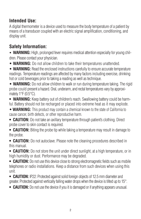# **Intended Use:**

A digital thermometer is a device used to measure the body temperature of a patient by means of a transducer coupled with an electric signal amplification, conditioning, and display unit.

## **Safety Information:**

• **WARNING:** High, prolonged fever requires medical attention especially for young children. Please contact your physician.

• **WARNING:** Do not allow children to take their temperatures unattended.

• **WARNING:** Read the enclosed instructions carefully to ensure accurate temperature readings. Temperature readings are affected by many factors including exercise, drinking hot or cold beverages prior to taking a reading as well as technique.

• **WARNING:** Do not allow children to walk or run during temperature taking. The rigid probe could present a hazard. Oral, underarm, and rectal temperatures vary by approximately 1°F (0.5°C).

• **WARNING:** Keep battery out of children's reach. Swallowing battery could be harmful. Battery should not be recharged or placed into extreme heat as it may explode.

• **WARNING:** This product may contain a chemical known to the state of California to cause cancer, birth defects, or other reproductive harm.

- **CAUTION:** Do not take an axillary temperature through patient's clothing. Direct probe cover to skin contact is required.
- **CAUTION:** Biting the probe tip while taking a temperature may result in damage to the probe.

**• CAUTION:** Do not autoclave. Please note the cleaning procedures described in this manual.

**• CAUTION:** Do not store the unit under direct sunlight, at a high temperature, or in high humidity or dust. Performance may be degraded.

• **CAUTION:** Do not use this device close to strong electromagnetic fields such as mobile telephones or radio installations. Keep a distance from such devices when using this unit.

**• CAUTION:** IP22: Protected against solid foreign objects of 12.5 mm diameter and greater. Protected against vertically falling water drops when the device is tilted up to 15°.

**• CAUTION:** Do not use the device if you it is damaged or if anything appears unusual.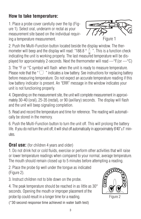# **How to take temperature:**

1. Place a probe cover carefully over the tip (Figure 1). Select oral, underarm or rectal as your measurement site based on the individual requiring a temperature measurement.



2. Push the Multi-Function button located beside the display window. The thermometer will beep and the display will read: "188.8  $^{\circ}$   $^{\circ}$  . This is a function check indicating the unit is working properly. The last measured temperature will be dis-<br>indicating the unit is working properly. The last measured temperature will be displayed for approximately 2-seconds. Next the thermometer will read ---°F.(or ---°C)

3. The  $\degree$ F or  $\degree$ C symbol will flash when the unit is ready to measure temperature. Please note that the " $\bigcirc$ " indicates a low battery. See instructions for replacing battery before measuring temperature. Do not expect an accurate temperature reading if this low battery indicator is present. An "ERR" message in the window indicates your unit is not functioning properly.

4. Depending on the measurement site, the unit will complete measurement in approximately 30-40 (oral), 25-35 (rectal), or 90 (axillary) seconds. The display will flash and the unit will beep signaling completion.

5. Read and record the temperature and time for reference. The reading will automatically be stored in the memory.

6. Push the Multi-Function button to turn the unit off. This will prolong the battery life. If you do not turn the unit off, it will shut off automatically in approximately 8'40" $\pm$ 1' minutes.

#### **Oral use:** (for children 4 years and older)

1. Do not drink hot or cold fluids, exercise or perform other activities that will raise or lower temperature readings when compared to your normal, average temperature. The mouth should remain closed up to 5 minutes before attempting a reading.

2. Place the probe tip well under the tongue as indicated (Figure 2).

3. Instruct children not to bite down on the probe.

4. The peak temperature should be reached in as little as 30\* seconds. Opening the mouth or improper placement of the probe tip could result in a longer time for a reading.



Figure 2

(\*30 second response time achieved in water bath test)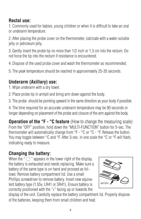# **Rectal use:**

1. Commonly used for babies, young children or when it is difficult to take an oral or underarm temperature.

2. After placing the probe cover on the thermometer, lubricate with a water-soluble jelly or petroleum jelly.

3. Gently insert the probe tip no more than 1/2 inch or 1.3 cm into the rectum. Do not force the tip into the rectum if resistance is encountered.

4. Dispose of the used probe cover and wash the thermometer as recommended.

5. The peak temperature should be reached in approximately 25-35 seconds.

#### **Underarm (Axillary) use:**

- 1. Wipe underarm with a dry towel.
- 2. Place probe tip in armpit and bring arm down against the body.

3. The probe should be pointing upward in the same direction as your body if possible.

4. The time required for an accurate underarm temperature may be 90 seconds or longer depending on placement of the probe and closure of the arm against the body.

**Operation of the °F - °C feature** (How to change the measuring scale) From the "OFF" position, hold down the "MULTI-FUNCTION" button for 5-sec. The thermometer will automatically change from °F - °C or °C - °F. Release the button. You may toggle between °C and °F. After 3-sec. in one scale the °C or °F will flash, indicating ready to measure.

# **Changing the battery:**

When the " $\Box$ " appears in the lower right of the display. the battery is exhausted and needs replacing. Make sure a battery of the same type is on hand and proceed as follows: Remove battery compartment lid. Use a small Phillips screwdriver to remove battery. Insert new equivalent battery type (1.55v, LR41 or SR41). Ensure battery is correctly positioned with the "+" facing up or towards the



display of the unit. Carefully replace the battery compartment lid. Properly dispose of the batteries, keeping them from small children and heat.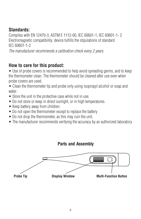# **Standards:**

Complies with EN 12470-3, ASTM E 1112-00, IEC 60601-1, IEC 60601-1- 2 Electromagnetic compatibility: device fulfills the stipulations of standard IEC 60601-1-2

The manufacturer recommends a calibration check every 2 years.

#### **How to care for this product:**

• Use of probe covers is recommended to help avoid spreading germs, and to keep the thermometer clean. The thermometer should be cleaned after use even when probe covers are used.

• Clean the thermometer tip and probe only using isopropyl alcohol or soap and water.

- Store the unit in the protective case while not in use.
- Do not store or keep in direct sunlight, or in high temperatures.
- Keep battery away from children.
- Do not open the thermometer except to replace the battery
- Do not drop the thermometer, as this may ruin the unit.
- The manufacturer recommends verifying the accuracy by an authorized laboratory



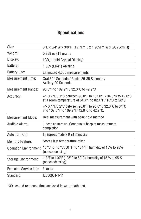#### **Specifications**

| Size:                         | 5"L x 3/4"W x 3/8"H (12.7cm L x 1.905cm W x .9525cm H)                                                                   |
|-------------------------------|--------------------------------------------------------------------------------------------------------------------------|
| Weight:                       | 0.388 oz (11 grams)                                                                                                      |
| Display:                      | LCD, Liquid Crystal Display)                                                                                             |
| Battery:                      | 1.55v (LR41) Alkaline                                                                                                    |
| Battery Life:                 | Estimated 4,500 measurements                                                                                             |
| <b>Measurement Time:</b>      | Oral 30* Seconds / Rectal 25-35 Seconds /<br><b>Axillary 90 Seconds</b>                                                  |
| <b>Measurement Range:</b>     | 90.0°F to 109.9°F / 32.0°C to 42.9°C                                                                                     |
| Accuracy:                     | +/- 0.2°F/0.1°C between 96.0°F to 107.0°F / 34.0°C to 42.0°C<br>at a room temperature of 64.4°F to 82.4°F / 18°C to 28°C |
|                               | +/- 0.4°F/0.2°C between 90.0°F to 96.0°F/ 32.0°C to 34°C<br>and 107.0°F to 109.9°F/42.0°C to 42.9°C.                     |
| Measurement Mode:             | Real measurement with peak-hold method                                                                                   |
| Audible Alarm:                | 1 beep at start-up. Continuous beep at measurement<br>completion                                                         |
| Auto Turn Off:                | In approximately $8 \pm 1$ minutes                                                                                       |
| <b>Memory Feature:</b>        | Stores last temperature taken                                                                                            |
| <b>Operation Environment:</b> | 10 °C to 40 °C /50 °F to 104 °F, humidity of 15% to 95%<br>(noncondensing)                                               |
| Storage Environment:          | -13°F to 140°F (-25°C to 60°C), humidity of 15 % to 95 %<br>(noncondensing)                                              |
| <b>Expected Service Life:</b> | 5 Years                                                                                                                  |
| Standard:                     | IEC60601-1-11                                                                                                            |
|                               |                                                                                                                          |

\*30 second response time achieved in water bath test.